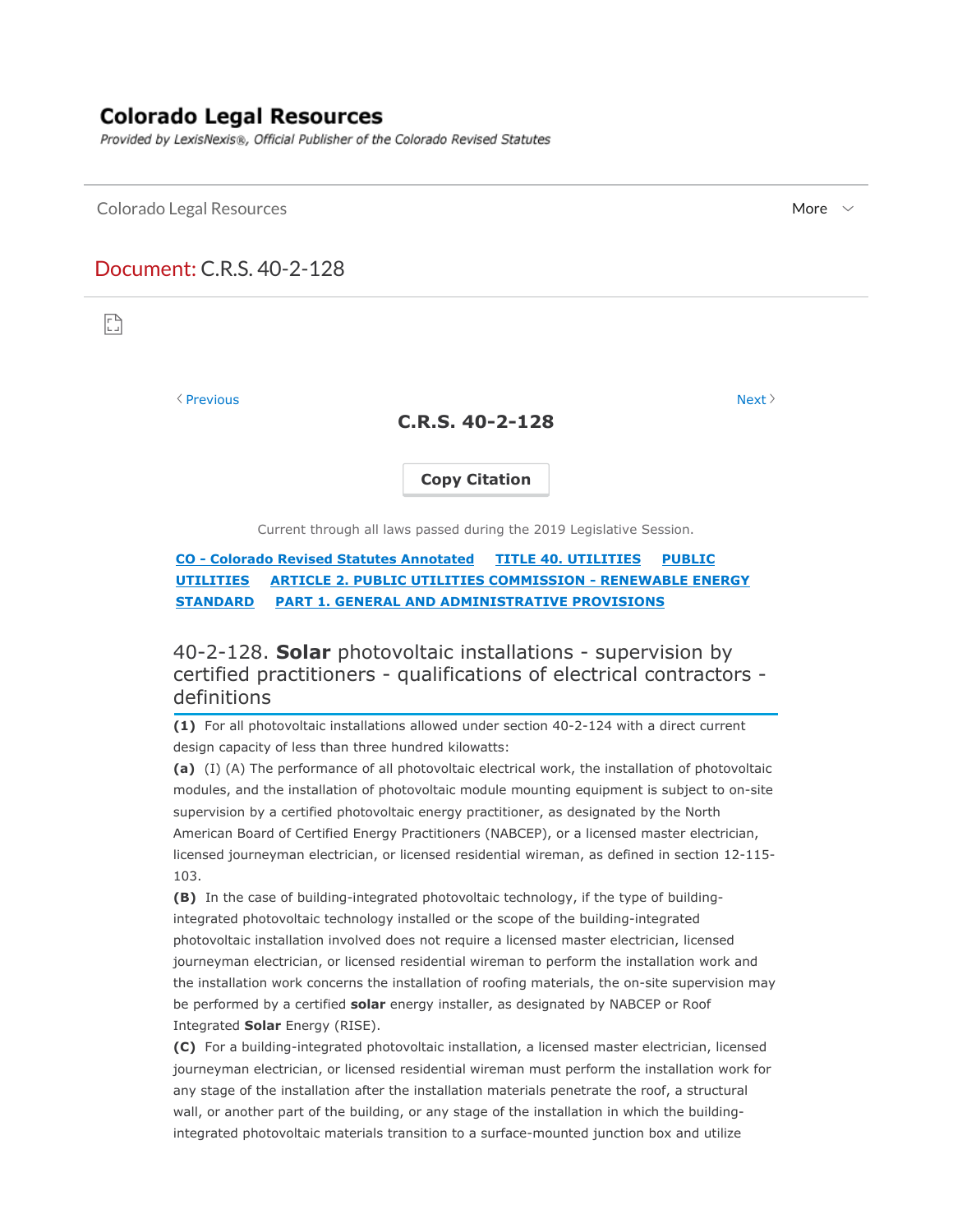## **Colorado Legal Resources**

Provided by LexisNexis®, Official Publisher of the Colorado Revised Statutes

 $\blacksquare$ Colorado Legal Resources  $\blacksquare$ 

## Document: C.R.S. 40-2-128

n

 $\Diamond$  Previous Next  $\Diamond$ 

**C.R.S. 40-2-128**

**Copy Citation**

Current through all laws passed during the 2019 Legislative Session.

**CO - Colorado Revised Statutes Annotated TITLE 40. UTILITIES PUBLIC UTILITIES ARTICLE 2. PUBLIC UTILITIES COMMISSION - RENEWABLE ENERGY STANDARD PART 1. GENERAL AND ADMINISTRATIVE PROVISIONS**

40-2-128. **Solar** photovoltaic installations - supervision by certified practitioners - qualifications of electrical contractors definitions

**(1)** For all photovoltaic installations allowed under section 40-2-124 with a direct current design capacity of less than three hundred kilowatts:

**(a)** (I) (A) The performance of all photovoltaic electrical work, the installation of photovoltaic modules, and the installation of photovoltaic module mounting equipment is subject to on-site supervision by a certified photovoltaic energy practitioner, as designated by the North American Board of Certified Energy Practitioners (NABCEP), or a licensed master electrician, licensed journeyman electrician, or licensed residential wireman, as defined in section 12-115- 103.

**(B)** In the case of building-integrated photovoltaic technology, if the type of buildingintegrated photovoltaic technology installed or the scope of the building-integrated photovoltaic installation involved does not require a licensed master electrician, licensed journeyman electrician, or licensed residential wireman to perform the installation work and the installation work concerns the installation of roofing materials, the on-site supervision may be performed by a certified **solar** energy installer, as designated by NABCEP or Roof Integrated **Solar** Energy (RISE).

**(C)** For a building-integrated photovoltaic installation, a licensed master electrician, licensed journeyman electrician, or licensed residential wireman must perform the installation work for any stage of the installation after the installation materials penetrate the roof, a structural wall, or another part of the building, or any stage of the installation in which the buildingintegrated photovoltaic materials transition to a surface-mounted junction box and utilize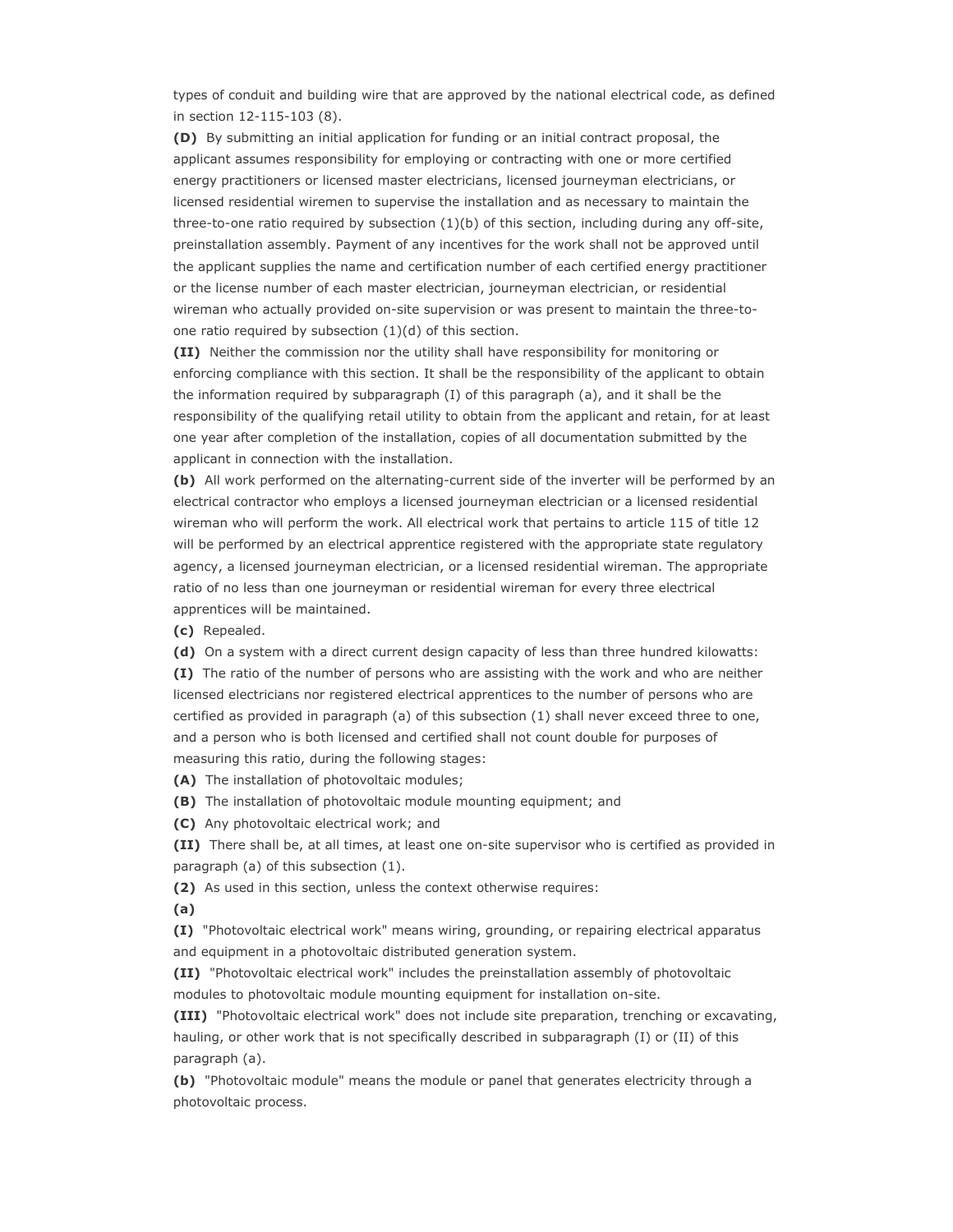types of conduit and building wire that are approved by the national electrical code, as defined in section 12-115-103 (8).

**(D)** By submitting an initial application for funding or an initial contract proposal, the applicant assumes responsibility for employing or contracting with one or more certified energy practitioners or licensed master electricians, licensed journeyman electricians, or licensed residential wiremen to supervise the installation and as necessary to maintain the three-to-one ratio required by subsection (1)(b) of this section, including during any off-site, preinstallation assembly. Payment of any incentives for the work shall not be approved until the applicant supplies the name and certification number of each certified energy practitioner or the license number of each master electrician, journeyman electrician, or residential wireman who actually provided on-site supervision or was present to maintain the three-toone ratio required by subsection (1)(d) of this section.

**(II)** Neither the commission nor the utility shall have responsibility for monitoring or enforcing compliance with this section. It shall be the responsibility of the applicant to obtain the information required by subparagraph (I) of this paragraph (a), and it shall be the responsibility of the qualifying retail utility to obtain from the applicant and retain, for at least one year after completion of the installation, copies of all documentation submitted by the applicant in connection with the installation.

**(b)** All work performed on the alternating-current side of the inverter will be performed by an electrical contractor who employs a licensed journeyman electrician or a licensed residential wireman who will perform the work. All electrical work that pertains to article 115 of title 12 will be performed by an electrical apprentice registered with the appropriate state regulatory agency, a licensed journeyman electrician, or a licensed residential wireman. The appropriate ratio of no less than one journeyman or residential wireman for every three electrical apprentices will be maintained.

**(c)** Repealed.

**(d)** On a system with a direct current design capacity of less than three hundred kilowatts:

**(I)** The ratio of the number of persons who are assisting with the work and who are neither licensed electricians nor registered electrical apprentices to the number of persons who are certified as provided in paragraph (a) of this subsection (1) shall never exceed three to one, and a person who is both licensed and certified shall not count double for purposes of measuring this ratio, during the following stages:

**(A)** The installation of photovoltaic modules;

**(B)** The installation of photovoltaic module mounting equipment; and

**(C)** Any photovoltaic electrical work; and

**(II)** There shall be, at all times, at least one on-site supervisor who is certified as provided in paragraph (a) of this subsection (1).

**(2)** As used in this section, unless the context otherwise requires:

**(a)**

**(I)** "Photovoltaic electrical work" means wiring, grounding, or repairing electrical apparatus and equipment in a photovoltaic distributed generation system.

**(II)** "Photovoltaic electrical work" includes the preinstallation assembly of photovoltaic modules to photovoltaic module mounting equipment for installation on-site.

**(III)** "Photovoltaic electrical work" does not include site preparation, trenching or excavating, hauling, or other work that is not specifically described in subparagraph (I) or (II) of this paragraph (a).

**(b)** "Photovoltaic module" means the module or panel that generates electricity through a photovoltaic process.